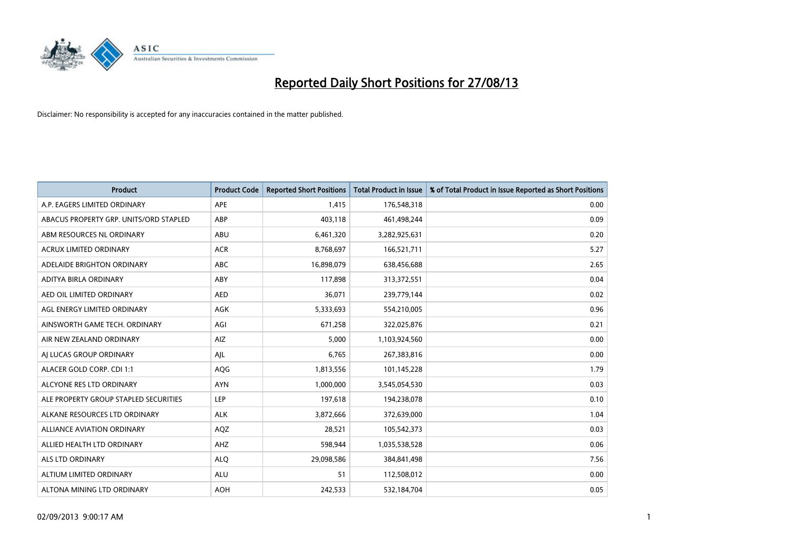

| <b>Product</b>                         | <b>Product Code</b> | <b>Reported Short Positions</b> | Total Product in Issue | % of Total Product in Issue Reported as Short Positions |
|----------------------------------------|---------------------|---------------------------------|------------------------|---------------------------------------------------------|
| A.P. EAGERS LIMITED ORDINARY           | <b>APE</b>          | 1,415                           | 176,548,318            | 0.00                                                    |
| ABACUS PROPERTY GRP. UNITS/ORD STAPLED | ABP                 | 403,118                         | 461,498,244            | 0.09                                                    |
| ABM RESOURCES NL ORDINARY              | ABU                 | 6,461,320                       | 3,282,925,631          | 0.20                                                    |
| <b>ACRUX LIMITED ORDINARY</b>          | <b>ACR</b>          | 8,768,697                       | 166,521,711            | 5.27                                                    |
| ADELAIDE BRIGHTON ORDINARY             | <b>ABC</b>          | 16,898,079                      | 638,456,688            | 2.65                                                    |
| ADITYA BIRLA ORDINARY                  | ABY                 | 117,898                         | 313,372,551            | 0.04                                                    |
| AED OIL LIMITED ORDINARY               | <b>AED</b>          | 36,071                          | 239,779,144            | 0.02                                                    |
| AGL ENERGY LIMITED ORDINARY            | <b>AGK</b>          | 5,333,693                       | 554,210,005            | 0.96                                                    |
| AINSWORTH GAME TECH. ORDINARY          | AGI                 | 671,258                         | 322,025,876            | 0.21                                                    |
| AIR NEW ZEALAND ORDINARY               | AIZ                 | 5,000                           | 1,103,924,560          | 0.00                                                    |
| AI LUCAS GROUP ORDINARY                | AJL                 | 6,765                           | 267,383,816            | 0.00                                                    |
| ALACER GOLD CORP. CDI 1:1              | AQG                 | 1,813,556                       | 101,145,228            | 1.79                                                    |
| ALCYONE RES LTD ORDINARY               | <b>AYN</b>          | 1,000,000                       | 3,545,054,530          | 0.03                                                    |
| ALE PROPERTY GROUP STAPLED SECURITIES  | <b>LEP</b>          | 197,618                         | 194,238,078            | 0.10                                                    |
| ALKANE RESOURCES LTD ORDINARY          | <b>ALK</b>          | 3,872,666                       | 372,639,000            | 1.04                                                    |
| <b>ALLIANCE AVIATION ORDINARY</b>      | AQZ                 | 28,521                          | 105,542,373            | 0.03                                                    |
| ALLIED HEALTH LTD ORDINARY             | AHZ                 | 598,944                         | 1,035,538,528          | 0.06                                                    |
| ALS LTD ORDINARY                       | <b>ALQ</b>          | 29,098,586                      | 384, 841, 498          | 7.56                                                    |
| ALTIUM LIMITED ORDINARY                | <b>ALU</b>          | 51                              | 112,508,012            | 0.00                                                    |
| ALTONA MINING LTD ORDINARY             | <b>AOH</b>          | 242,533                         | 532,184,704            | 0.05                                                    |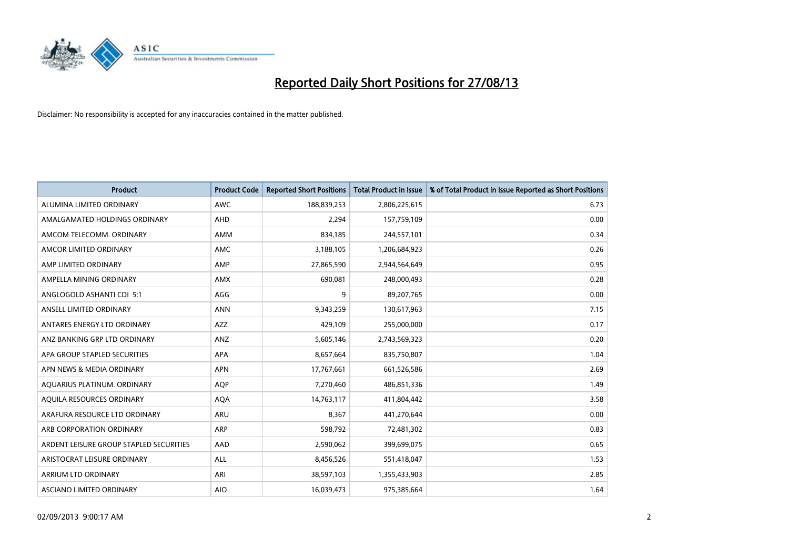

| <b>Product</b>                          | <b>Product Code</b> | <b>Reported Short Positions</b> | <b>Total Product in Issue</b> | % of Total Product in Issue Reported as Short Positions |
|-----------------------------------------|---------------------|---------------------------------|-------------------------------|---------------------------------------------------------|
| ALUMINA LIMITED ORDINARY                | <b>AWC</b>          | 188,839,253                     | 2,806,225,615                 | 6.73                                                    |
| AMALGAMATED HOLDINGS ORDINARY           | AHD                 | 2,294                           | 157,759,109                   | 0.00                                                    |
| AMCOM TELECOMM, ORDINARY                | AMM                 | 834,185                         | 244,557,101                   | 0.34                                                    |
| AMCOR LIMITED ORDINARY                  | AMC                 | 3,188,105                       | 1,206,684,923                 | 0.26                                                    |
| AMP LIMITED ORDINARY                    | AMP                 | 27,865,590                      | 2,944,564,649                 | 0.95                                                    |
| AMPELLA MINING ORDINARY                 | AMX                 | 690,081                         | 248,000,493                   | 0.28                                                    |
| ANGLOGOLD ASHANTI CDI 5:1               | AGG                 | 9                               | 89,207,765                    | 0.00                                                    |
| ANSELL LIMITED ORDINARY                 | <b>ANN</b>          | 9,343,259                       | 130,617,963                   | 7.15                                                    |
| ANTARES ENERGY LTD ORDINARY             | <b>AZZ</b>          | 429,109                         | 255,000,000                   | 0.17                                                    |
| ANZ BANKING GRP LTD ORDINARY            | ANZ                 | 5,605,146                       | 2,743,569,323                 | 0.20                                                    |
| APA GROUP STAPLED SECURITIES            | APA                 | 8,657,664                       | 835,750,807                   | 1.04                                                    |
| APN NEWS & MEDIA ORDINARY               | <b>APN</b>          | 17,767,661                      | 661,526,586                   | 2.69                                                    |
| AQUARIUS PLATINUM. ORDINARY             | <b>AOP</b>          | 7,270,460                       | 486,851,336                   | 1.49                                                    |
| AOUILA RESOURCES ORDINARY               | <b>AQA</b>          | 14,763,117                      | 411,804,442                   | 3.58                                                    |
| ARAFURA RESOURCE LTD ORDINARY           | ARU                 | 8,367                           | 441,270,644                   | 0.00                                                    |
| ARB CORPORATION ORDINARY                | <b>ARP</b>          | 598,792                         | 72,481,302                    | 0.83                                                    |
| ARDENT LEISURE GROUP STAPLED SECURITIES | AAD                 | 2,590,062                       | 399,699,075                   | 0.65                                                    |
| ARISTOCRAT LEISURE ORDINARY             | ALL                 | 8,456,526                       | 551,418,047                   | 1.53                                                    |
| ARRIUM LTD ORDINARY                     | ARI                 | 38,597,103                      | 1,355,433,903                 | 2.85                                                    |
| ASCIANO LIMITED ORDINARY                | <b>AIO</b>          | 16,039,473                      | 975,385,664                   | 1.64                                                    |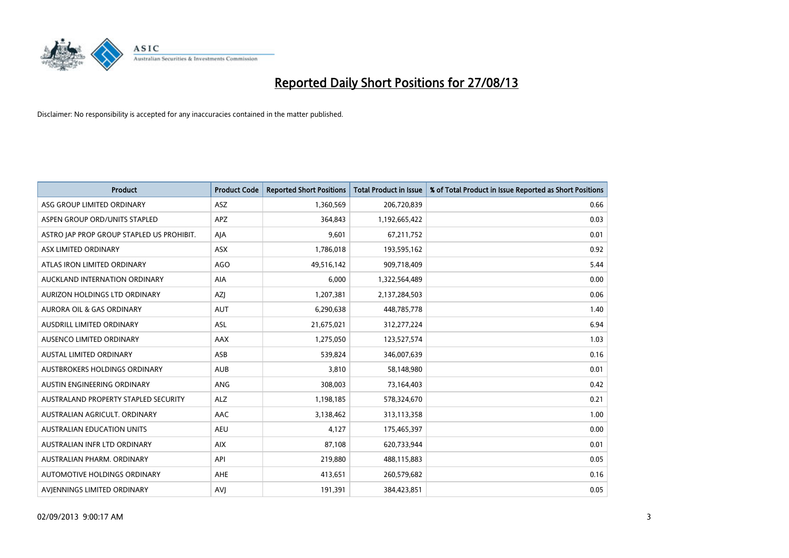

| <b>Product</b>                            | <b>Product Code</b> | <b>Reported Short Positions</b> | <b>Total Product in Issue</b> | % of Total Product in Issue Reported as Short Positions |
|-------------------------------------------|---------------------|---------------------------------|-------------------------------|---------------------------------------------------------|
| ASG GROUP LIMITED ORDINARY                | <b>ASZ</b>          | 1,360,569                       | 206,720,839                   | 0.66                                                    |
| ASPEN GROUP ORD/UNITS STAPLED             | <b>APZ</b>          | 364,843                         | 1,192,665,422                 | 0.03                                                    |
| ASTRO JAP PROP GROUP STAPLED US PROHIBIT. | AJA                 | 9,601                           | 67,211,752                    | 0.01                                                    |
| ASX LIMITED ORDINARY                      | ASX                 | 1,786,018                       | 193,595,162                   | 0.92                                                    |
| ATLAS IRON LIMITED ORDINARY               | <b>AGO</b>          | 49,516,142                      | 909,718,409                   | 5.44                                                    |
| AUCKLAND INTERNATION ORDINARY             | <b>AIA</b>          | 6,000                           | 1,322,564,489                 | 0.00                                                    |
| AURIZON HOLDINGS LTD ORDINARY             | AZJ                 | 1,207,381                       | 2,137,284,503                 | 0.06                                                    |
| AURORA OIL & GAS ORDINARY                 | AUT                 | 6,290,638                       | 448,785,778                   | 1.40                                                    |
| AUSDRILL LIMITED ORDINARY                 | ASL                 | 21,675,021                      | 312,277,224                   | 6.94                                                    |
| AUSENCO LIMITED ORDINARY                  | AAX                 | 1,275,050                       | 123,527,574                   | 1.03                                                    |
| AUSTAL LIMITED ORDINARY                   | ASB                 | 539,824                         | 346,007,639                   | 0.16                                                    |
| <b>AUSTBROKERS HOLDINGS ORDINARY</b>      | <b>AUB</b>          | 3,810                           | 58,148,980                    | 0.01                                                    |
| AUSTIN ENGINEERING ORDINARY               | ANG                 | 308,003                         | 73,164,403                    | 0.42                                                    |
| AUSTRALAND PROPERTY STAPLED SECURITY      | <b>ALZ</b>          | 1,198,185                       | 578,324,670                   | 0.21                                                    |
| AUSTRALIAN AGRICULT, ORDINARY             | <b>AAC</b>          | 3,138,462                       | 313,113,358                   | 1.00                                                    |
| AUSTRALIAN EDUCATION UNITS                | <b>AEU</b>          | 4,127                           | 175,465,397                   | 0.00                                                    |
| AUSTRALIAN INFR LTD ORDINARY              | <b>AIX</b>          | 87,108                          | 620,733,944                   | 0.01                                                    |
| AUSTRALIAN PHARM. ORDINARY                | API                 | 219,880                         | 488,115,883                   | 0.05                                                    |
| AUTOMOTIVE HOLDINGS ORDINARY              | <b>AHE</b>          | 413,651                         | 260,579,682                   | 0.16                                                    |
| AVIENNINGS LIMITED ORDINARY               | <b>AVJ</b>          | 191,391                         | 384,423,851                   | 0.05                                                    |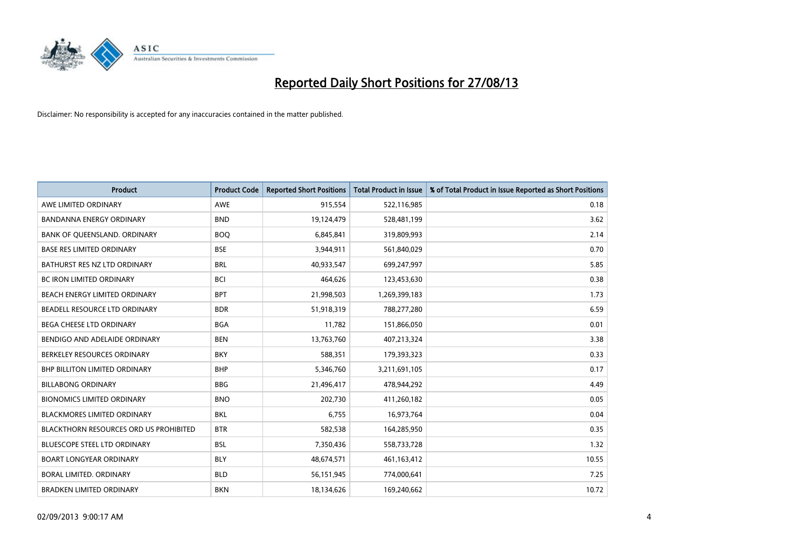

| <b>Product</b>                         | <b>Product Code</b> | <b>Reported Short Positions</b> | <b>Total Product in Issue</b> | % of Total Product in Issue Reported as Short Positions |
|----------------------------------------|---------------------|---------------------------------|-------------------------------|---------------------------------------------------------|
| AWE LIMITED ORDINARY                   | AWE                 | 915,554                         | 522,116,985                   | 0.18                                                    |
| BANDANNA ENERGY ORDINARY               | <b>BND</b>          | 19,124,479                      | 528,481,199                   | 3.62                                                    |
| BANK OF QUEENSLAND. ORDINARY           | <b>BOQ</b>          | 6,845,841                       | 319,809,993                   | 2.14                                                    |
| <b>BASE RES LIMITED ORDINARY</b>       | <b>BSE</b>          | 3,944,911                       | 561,840,029                   | 0.70                                                    |
| BATHURST RES NZ LTD ORDINARY           | <b>BRL</b>          | 40,933,547                      | 699,247,997                   | 5.85                                                    |
| <b>BC IRON LIMITED ORDINARY</b>        | <b>BCI</b>          | 464,626                         | 123,453,630                   | 0.38                                                    |
| BEACH ENERGY LIMITED ORDINARY          | <b>BPT</b>          | 21,998,503                      | 1,269,399,183                 | 1.73                                                    |
| BEADELL RESOURCE LTD ORDINARY          | <b>BDR</b>          | 51,918,319                      | 788,277,280                   | 6.59                                                    |
| <b>BEGA CHEESE LTD ORDINARY</b>        | <b>BGA</b>          | 11,782                          | 151,866,050                   | 0.01                                                    |
| BENDIGO AND ADELAIDE ORDINARY          | <b>BEN</b>          | 13,763,760                      | 407,213,324                   | 3.38                                                    |
| BERKELEY RESOURCES ORDINARY            | <b>BKY</b>          | 588,351                         | 179,393,323                   | 0.33                                                    |
| BHP BILLITON LIMITED ORDINARY          | <b>BHP</b>          | 5,346,760                       | 3,211,691,105                 | 0.17                                                    |
| <b>BILLABONG ORDINARY</b>              | <b>BBG</b>          | 21,496,417                      | 478,944,292                   | 4.49                                                    |
| <b>BIONOMICS LIMITED ORDINARY</b>      | <b>BNO</b>          | 202,730                         | 411,260,182                   | 0.05                                                    |
| <b>BLACKMORES LIMITED ORDINARY</b>     | <b>BKL</b>          | 6,755                           | 16,973,764                    | 0.04                                                    |
| BLACKTHORN RESOURCES ORD US PROHIBITED | <b>BTR</b>          | 582,538                         | 164,285,950                   | 0.35                                                    |
| BLUESCOPE STEEL LTD ORDINARY           | <b>BSL</b>          | 7,350,436                       | 558,733,728                   | 1.32                                                    |
| <b>BOART LONGYEAR ORDINARY</b>         | <b>BLY</b>          | 48,674,571                      | 461,163,412                   | 10.55                                                   |
| <b>BORAL LIMITED, ORDINARY</b>         | <b>BLD</b>          | 56,151,945                      | 774,000,641                   | 7.25                                                    |
| <b>BRADKEN LIMITED ORDINARY</b>        | <b>BKN</b>          | 18,134,626                      | 169,240,662                   | 10.72                                                   |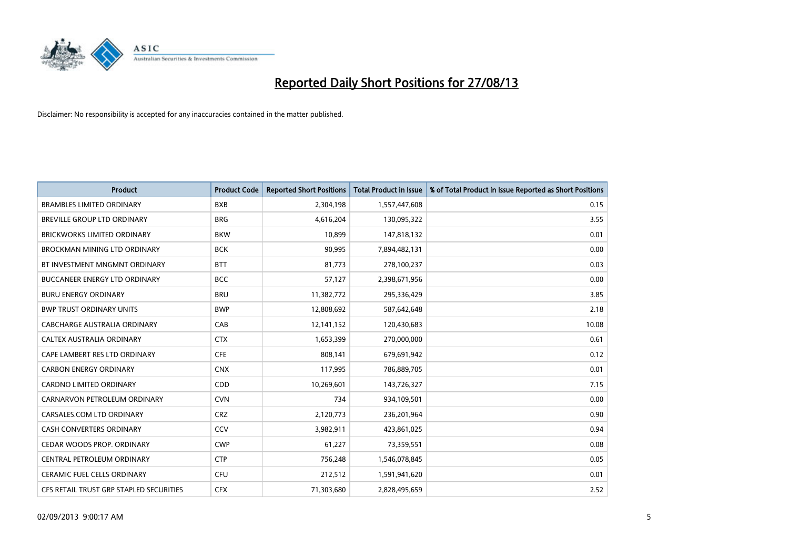

| <b>Product</b>                          | <b>Product Code</b> | <b>Reported Short Positions</b> | <b>Total Product in Issue</b> | % of Total Product in Issue Reported as Short Positions |
|-----------------------------------------|---------------------|---------------------------------|-------------------------------|---------------------------------------------------------|
| <b>BRAMBLES LIMITED ORDINARY</b>        | <b>BXB</b>          | 2,304,198                       | 1,557,447,608                 | 0.15                                                    |
| BREVILLE GROUP LTD ORDINARY             | <b>BRG</b>          | 4,616,204                       | 130,095,322                   | 3.55                                                    |
| <b>BRICKWORKS LIMITED ORDINARY</b>      | <b>BKW</b>          | 10,899                          | 147,818,132                   | 0.01                                                    |
| BROCKMAN MINING LTD ORDINARY            | <b>BCK</b>          | 90,995                          | 7,894,482,131                 | 0.00                                                    |
| BT INVESTMENT MNGMNT ORDINARY           | <b>BTT</b>          | 81,773                          | 278,100,237                   | 0.03                                                    |
| <b>BUCCANEER ENERGY LTD ORDINARY</b>    | <b>BCC</b>          | 57,127                          | 2,398,671,956                 | 0.00                                                    |
| <b>BURU ENERGY ORDINARY</b>             | <b>BRU</b>          | 11,382,772                      | 295,336,429                   | 3.85                                                    |
| <b>BWP TRUST ORDINARY UNITS</b>         | <b>BWP</b>          | 12,808,692                      | 587,642,648                   | 2.18                                                    |
| CABCHARGE AUSTRALIA ORDINARY            | CAB                 | 12,141,152                      | 120,430,683                   | 10.08                                                   |
| CALTEX AUSTRALIA ORDINARY               | <b>CTX</b>          | 1,653,399                       | 270,000,000                   | 0.61                                                    |
| CAPE LAMBERT RES LTD ORDINARY           | <b>CFE</b>          | 808,141                         | 679,691,942                   | 0.12                                                    |
| <b>CARBON ENERGY ORDINARY</b>           | <b>CNX</b>          | 117,995                         | 786,889,705                   | 0.01                                                    |
| CARDNO LIMITED ORDINARY                 | CDD                 | 10,269,601                      | 143,726,327                   | 7.15                                                    |
| CARNARVON PETROLEUM ORDINARY            | <b>CVN</b>          | 734                             | 934,109,501                   | 0.00                                                    |
| CARSALES.COM LTD ORDINARY               | <b>CRZ</b>          | 2,120,773                       | 236,201,964                   | 0.90                                                    |
| CASH CONVERTERS ORDINARY                | CCV                 | 3,982,911                       | 423,861,025                   | 0.94                                                    |
| CEDAR WOODS PROP. ORDINARY              | <b>CWP</b>          | 61,227                          | 73,359,551                    | 0.08                                                    |
| CENTRAL PETROLEUM ORDINARY              | <b>CTP</b>          | 756,248                         | 1,546,078,845                 | 0.05                                                    |
| <b>CERAMIC FUEL CELLS ORDINARY</b>      | <b>CFU</b>          | 212,512                         | 1,591,941,620                 | 0.01                                                    |
| CFS RETAIL TRUST GRP STAPLED SECURITIES | <b>CFX</b>          | 71,303,680                      | 2,828,495,659                 | 2.52                                                    |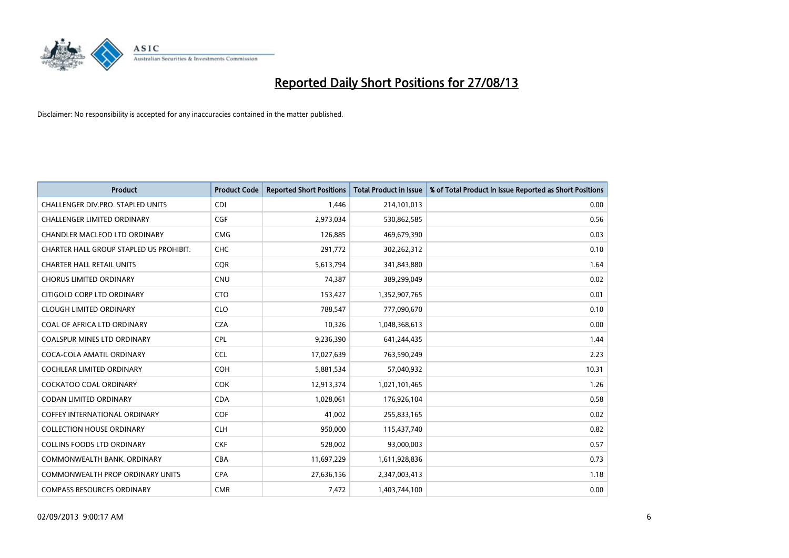

| <b>Product</b>                          | <b>Product Code</b> | <b>Reported Short Positions</b> | <b>Total Product in Issue</b> | % of Total Product in Issue Reported as Short Positions |
|-----------------------------------------|---------------------|---------------------------------|-------------------------------|---------------------------------------------------------|
| CHALLENGER DIV.PRO. STAPLED UNITS       | <b>CDI</b>          | 1,446                           | 214,101,013                   | 0.00                                                    |
| CHALLENGER LIMITED ORDINARY             | <b>CGF</b>          | 2,973,034                       | 530,862,585                   | 0.56                                                    |
| <b>CHANDLER MACLEOD LTD ORDINARY</b>    | <b>CMG</b>          | 126,885                         | 469,679,390                   | 0.03                                                    |
| CHARTER HALL GROUP STAPLED US PROHIBIT. | <b>CHC</b>          | 291,772                         | 302,262,312                   | 0.10                                                    |
| <b>CHARTER HALL RETAIL UNITS</b>        | <b>COR</b>          | 5,613,794                       | 341,843,880                   | 1.64                                                    |
| <b>CHORUS LIMITED ORDINARY</b>          | <b>CNU</b>          | 74,387                          | 389,299,049                   | 0.02                                                    |
| CITIGOLD CORP LTD ORDINARY              | <b>CTO</b>          | 153,427                         | 1,352,907,765                 | 0.01                                                    |
| <b>CLOUGH LIMITED ORDINARY</b>          | <b>CLO</b>          | 788,547                         | 777,090,670                   | 0.10                                                    |
| COAL OF AFRICA LTD ORDINARY             | <b>CZA</b>          | 10,326                          | 1,048,368,613                 | 0.00                                                    |
| <b>COALSPUR MINES LTD ORDINARY</b>      | <b>CPL</b>          | 9,236,390                       | 641,244,435                   | 1.44                                                    |
| COCA-COLA AMATIL ORDINARY               | <b>CCL</b>          | 17,027,639                      | 763,590,249                   | 2.23                                                    |
| <b>COCHLEAR LIMITED ORDINARY</b>        | <b>COH</b>          | 5,881,534                       | 57,040,932                    | 10.31                                                   |
| COCKATOO COAL ORDINARY                  | COK                 | 12,913,374                      | 1,021,101,465                 | 1.26                                                    |
| <b>CODAN LIMITED ORDINARY</b>           | <b>CDA</b>          | 1,028,061                       | 176,926,104                   | 0.58                                                    |
| <b>COFFEY INTERNATIONAL ORDINARY</b>    | <b>COF</b>          | 41,002                          | 255,833,165                   | 0.02                                                    |
| <b>COLLECTION HOUSE ORDINARY</b>        | <b>CLH</b>          | 950,000                         | 115,437,740                   | 0.82                                                    |
| <b>COLLINS FOODS LTD ORDINARY</b>       | <b>CKF</b>          | 528,002                         | 93,000,003                    | 0.57                                                    |
| COMMONWEALTH BANK, ORDINARY             | <b>CBA</b>          | 11,697,229                      | 1,611,928,836                 | 0.73                                                    |
| <b>COMMONWEALTH PROP ORDINARY UNITS</b> | <b>CPA</b>          | 27,636,156                      | 2,347,003,413                 | 1.18                                                    |
| <b>COMPASS RESOURCES ORDINARY</b>       | <b>CMR</b>          | 7,472                           | 1,403,744,100                 | 0.00                                                    |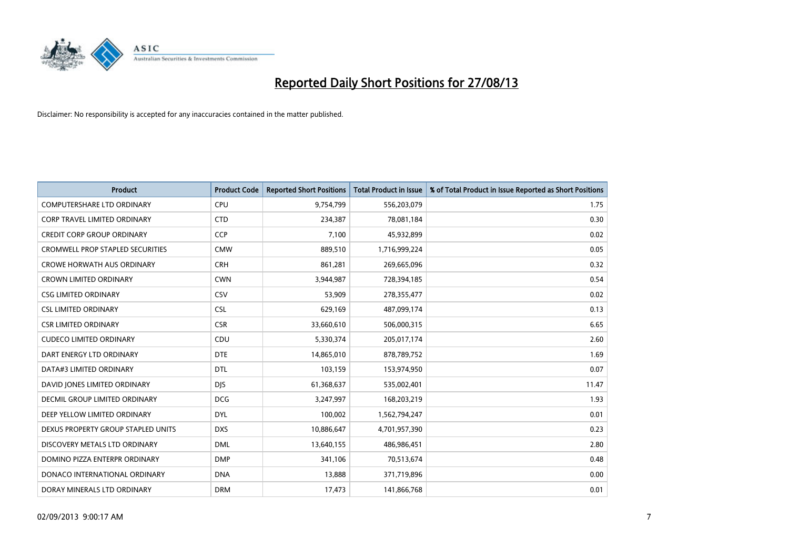

| <b>Product</b>                          | <b>Product Code</b> | <b>Reported Short Positions</b> | <b>Total Product in Issue</b> | % of Total Product in Issue Reported as Short Positions |
|-----------------------------------------|---------------------|---------------------------------|-------------------------------|---------------------------------------------------------|
| <b>COMPUTERSHARE LTD ORDINARY</b>       | <b>CPU</b>          | 9,754,799                       | 556,203,079                   | 1.75                                                    |
| <b>CORP TRAVEL LIMITED ORDINARY</b>     | <b>CTD</b>          | 234,387                         | 78,081,184                    | 0.30                                                    |
| <b>CREDIT CORP GROUP ORDINARY</b>       | <b>CCP</b>          | 7,100                           | 45,932,899                    | 0.02                                                    |
| <b>CROMWELL PROP STAPLED SECURITIES</b> | <b>CMW</b>          | 889,510                         | 1,716,999,224                 | 0.05                                                    |
| <b>CROWE HORWATH AUS ORDINARY</b>       | <b>CRH</b>          | 861,281                         | 269,665,096                   | 0.32                                                    |
| <b>CROWN LIMITED ORDINARY</b>           | <b>CWN</b>          | 3,944,987                       | 728,394,185                   | 0.54                                                    |
| <b>CSG LIMITED ORDINARY</b>             | CSV                 | 53,909                          | 278,355,477                   | 0.02                                                    |
| <b>CSL LIMITED ORDINARY</b>             | <b>CSL</b>          | 629,169                         | 487,099,174                   | 0.13                                                    |
| <b>CSR LIMITED ORDINARY</b>             | <b>CSR</b>          | 33,660,610                      | 506,000,315                   | 6.65                                                    |
| <b>CUDECO LIMITED ORDINARY</b>          | CDU                 | 5,330,374                       | 205,017,174                   | 2.60                                                    |
| DART ENERGY LTD ORDINARY                | <b>DTE</b>          | 14,865,010                      | 878,789,752                   | 1.69                                                    |
| DATA#3 LIMITED ORDINARY                 | <b>DTL</b>          | 103,159                         | 153,974,950                   | 0.07                                                    |
| DAVID JONES LIMITED ORDINARY            | <b>DJS</b>          | 61,368,637                      | 535,002,401                   | 11.47                                                   |
| DECMIL GROUP LIMITED ORDINARY           | <b>DCG</b>          | 3,247,997                       | 168,203,219                   | 1.93                                                    |
| DEEP YELLOW LIMITED ORDINARY            | <b>DYL</b>          | 100,002                         | 1,562,794,247                 | 0.01                                                    |
| DEXUS PROPERTY GROUP STAPLED UNITS      | <b>DXS</b>          | 10,886,647                      | 4,701,957,390                 | 0.23                                                    |
| DISCOVERY METALS LTD ORDINARY           | <b>DML</b>          | 13,640,155                      | 486,986,451                   | 2.80                                                    |
| DOMINO PIZZA ENTERPR ORDINARY           | <b>DMP</b>          | 341,106                         | 70,513,674                    | 0.48                                                    |
| DONACO INTERNATIONAL ORDINARY           | <b>DNA</b>          | 13,888                          | 371,719,896                   | 0.00                                                    |
| DORAY MINERALS LTD ORDINARY             | <b>DRM</b>          | 17,473                          | 141,866,768                   | 0.01                                                    |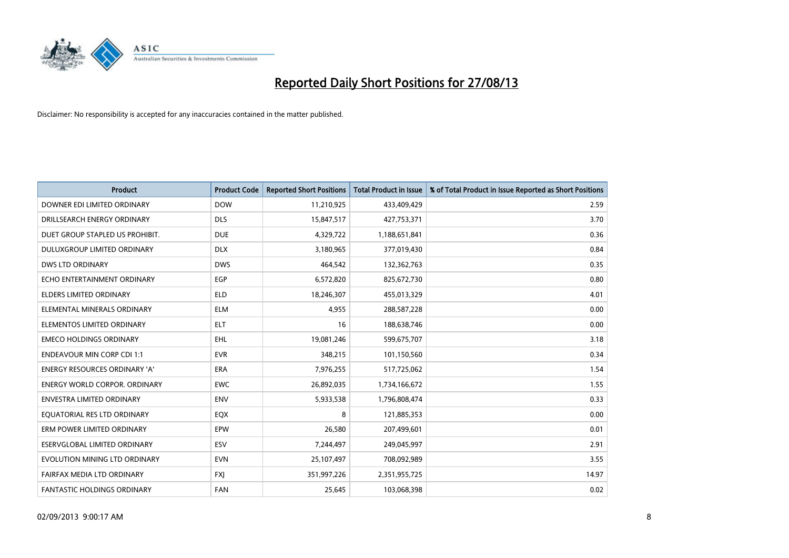

| <b>Product</b>                       | <b>Product Code</b> | <b>Reported Short Positions</b> | <b>Total Product in Issue</b> | % of Total Product in Issue Reported as Short Positions |
|--------------------------------------|---------------------|---------------------------------|-------------------------------|---------------------------------------------------------|
| DOWNER EDI LIMITED ORDINARY          | <b>DOW</b>          | 11,210,925                      | 433,409,429                   | 2.59                                                    |
| DRILLSEARCH ENERGY ORDINARY          | <b>DLS</b>          | 15,847,517                      | 427,753,371                   | 3.70                                                    |
| DUET GROUP STAPLED US PROHIBIT.      | <b>DUE</b>          | 4,329,722                       | 1,188,651,841                 | 0.36                                                    |
| DULUXGROUP LIMITED ORDINARY          | <b>DLX</b>          | 3,180,965                       | 377,019,430                   | 0.84                                                    |
| <b>DWS LTD ORDINARY</b>              | <b>DWS</b>          | 464,542                         | 132,362,763                   | 0.35                                                    |
| ECHO ENTERTAINMENT ORDINARY          | EGP                 | 6,572,820                       | 825,672,730                   | 0.80                                                    |
| <b>ELDERS LIMITED ORDINARY</b>       | <b>ELD</b>          | 18,246,307                      | 455,013,329                   | 4.01                                                    |
| ELEMENTAL MINERALS ORDINARY          | <b>ELM</b>          | 4,955                           | 288,587,228                   | 0.00                                                    |
| ELEMENTOS LIMITED ORDINARY           | ELT                 | 16                              | 188,638,746                   | 0.00                                                    |
| <b>EMECO HOLDINGS ORDINARY</b>       | <b>EHL</b>          | 19,081,246                      | 599,675,707                   | 3.18                                                    |
| <b>ENDEAVOUR MIN CORP CDI 1:1</b>    | <b>EVR</b>          | 348,215                         | 101,150,560                   | 0.34                                                    |
| <b>ENERGY RESOURCES ORDINARY 'A'</b> | ERA                 | 7,976,255                       | 517,725,062                   | 1.54                                                    |
| <b>ENERGY WORLD CORPOR. ORDINARY</b> | <b>EWC</b>          | 26,892,035                      | 1,734,166,672                 | 1.55                                                    |
| <b>ENVESTRA LIMITED ORDINARY</b>     | <b>ENV</b>          | 5,933,538                       | 1,796,808,474                 | 0.33                                                    |
| EQUATORIAL RES LTD ORDINARY          | EQX                 | 8                               | 121,885,353                   | 0.00                                                    |
| ERM POWER LIMITED ORDINARY           | EPW                 | 26,580                          | 207,499,601                   | 0.01                                                    |
| ESERVGLOBAL LIMITED ORDINARY         | ESV                 | 7,244,497                       | 249,045,997                   | 2.91                                                    |
| EVOLUTION MINING LTD ORDINARY        | <b>EVN</b>          | 25,107,497                      | 708,092,989                   | 3.55                                                    |
| FAIRFAX MEDIA LTD ORDINARY           | <b>FXJ</b>          | 351,997,226                     | 2,351,955,725                 | 14.97                                                   |
| <b>FANTASTIC HOLDINGS ORDINARY</b>   | <b>FAN</b>          | 25,645                          | 103,068,398                   | 0.02                                                    |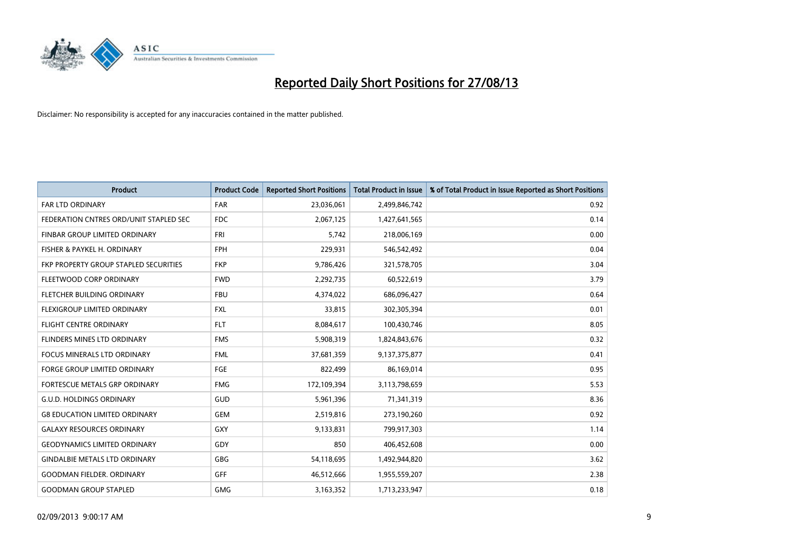

| <b>Product</b>                         | <b>Product Code</b> | <b>Reported Short Positions</b> | <b>Total Product in Issue</b> | % of Total Product in Issue Reported as Short Positions |
|----------------------------------------|---------------------|---------------------------------|-------------------------------|---------------------------------------------------------|
| <b>FAR LTD ORDINARY</b>                | <b>FAR</b>          | 23,036,061                      | 2,499,846,742                 | 0.92                                                    |
| FEDERATION CNTRES ORD/UNIT STAPLED SEC | <b>FDC</b>          | 2,067,125                       | 1,427,641,565                 | 0.14                                                    |
| FINBAR GROUP LIMITED ORDINARY          | FRI                 | 5,742                           | 218,006,169                   | 0.00                                                    |
| FISHER & PAYKEL H. ORDINARY            | <b>FPH</b>          | 229,931                         | 546,542,492                   | 0.04                                                    |
| FKP PROPERTY GROUP STAPLED SECURITIES  | <b>FKP</b>          | 9,786,426                       | 321,578,705                   | 3.04                                                    |
| FLEETWOOD CORP ORDINARY                | <b>FWD</b>          | 2,292,735                       | 60,522,619                    | 3.79                                                    |
| FLETCHER BUILDING ORDINARY             | <b>FBU</b>          | 4,374,022                       | 686,096,427                   | 0.64                                                    |
| <b>FLEXIGROUP LIMITED ORDINARY</b>     | <b>FXL</b>          | 33,815                          | 302,305,394                   | 0.01                                                    |
| FLIGHT CENTRE ORDINARY                 | <b>FLT</b>          | 8,084,617                       | 100,430,746                   | 8.05                                                    |
| FLINDERS MINES LTD ORDINARY            | <b>FMS</b>          | 5,908,319                       | 1,824,843,676                 | 0.32                                                    |
| <b>FOCUS MINERALS LTD ORDINARY</b>     | <b>FML</b>          | 37,681,359                      | 9,137,375,877                 | 0.41                                                    |
| <b>FORGE GROUP LIMITED ORDINARY</b>    | FGE                 | 822,499                         | 86,169,014                    | 0.95                                                    |
| FORTESCUE METALS GRP ORDINARY          | <b>FMG</b>          | 172,109,394                     | 3,113,798,659                 | 5.53                                                    |
| <b>G.U.D. HOLDINGS ORDINARY</b>        | GUD                 | 5,961,396                       | 71,341,319                    | 8.36                                                    |
| <b>G8 EDUCATION LIMITED ORDINARY</b>   | <b>GEM</b>          | 2,519,816                       | 273,190,260                   | 0.92                                                    |
| <b>GALAXY RESOURCES ORDINARY</b>       | GXY                 | 9,133,831                       | 799,917,303                   | 1.14                                                    |
| <b>GEODYNAMICS LIMITED ORDINARY</b>    | GDY                 | 850                             | 406,452,608                   | 0.00                                                    |
| <b>GINDALBIE METALS LTD ORDINARY</b>   | <b>GBG</b>          | 54,118,695                      | 1,492,944,820                 | 3.62                                                    |
| <b>GOODMAN FIELDER, ORDINARY</b>       | <b>GFF</b>          | 46,512,666                      | 1,955,559,207                 | 2.38                                                    |
| <b>GOODMAN GROUP STAPLED</b>           | <b>GMG</b>          | 3,163,352                       | 1,713,233,947                 | 0.18                                                    |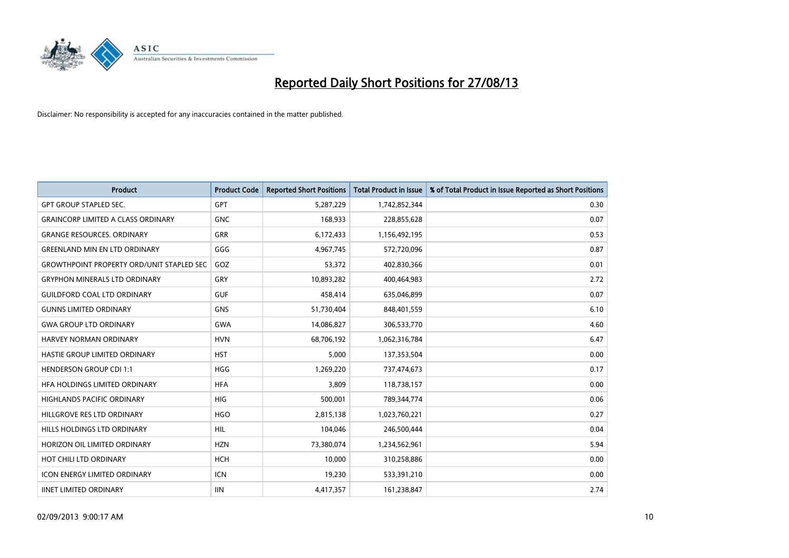

| <b>Product</b>                                   | <b>Product Code</b> | <b>Reported Short Positions</b> | <b>Total Product in Issue</b> | % of Total Product in Issue Reported as Short Positions |
|--------------------------------------------------|---------------------|---------------------------------|-------------------------------|---------------------------------------------------------|
| <b>GPT GROUP STAPLED SEC.</b>                    | GPT                 | 5,287,229                       | 1,742,852,344                 | 0.30                                                    |
| <b>GRAINCORP LIMITED A CLASS ORDINARY</b>        | <b>GNC</b>          | 168,933                         | 228,855,628                   | 0.07                                                    |
| <b>GRANGE RESOURCES. ORDINARY</b>                | GRR                 | 6,172,433                       | 1,156,492,195                 | 0.53                                                    |
| <b>GREENLAND MIN EN LTD ORDINARY</b>             | GGG                 | 4,967,745                       | 572,720,096                   | 0.87                                                    |
| <b>GROWTHPOINT PROPERTY ORD/UNIT STAPLED SEC</b> | GOZ                 | 53,372                          | 402,830,366                   | 0.01                                                    |
| <b>GRYPHON MINERALS LTD ORDINARY</b>             | GRY                 | 10,893,282                      | 400,464,983                   | 2.72                                                    |
| <b>GUILDFORD COAL LTD ORDINARY</b>               | <b>GUF</b>          | 458,414                         | 635,046,899                   | 0.07                                                    |
| <b>GUNNS LIMITED ORDINARY</b>                    | <b>GNS</b>          | 51,730,404                      | 848,401,559                   | 6.10                                                    |
| <b>GWA GROUP LTD ORDINARY</b>                    | <b>GWA</b>          | 14,086,827                      | 306,533,770                   | 4.60                                                    |
| <b>HARVEY NORMAN ORDINARY</b>                    | <b>HVN</b>          | 68,706,192                      | 1,062,316,784                 | 6.47                                                    |
| HASTIE GROUP LIMITED ORDINARY                    | <b>HST</b>          | 5,000                           | 137,353,504                   | 0.00                                                    |
| <b>HENDERSON GROUP CDI 1:1</b>                   | <b>HGG</b>          | 1,269,220                       | 737,474,673                   | 0.17                                                    |
| HFA HOLDINGS LIMITED ORDINARY                    | <b>HFA</b>          | 3.809                           | 118,738,157                   | 0.00                                                    |
| <b>HIGHLANDS PACIFIC ORDINARY</b>                | <b>HIG</b>          | 500,001                         | 789,344,774                   | 0.06                                                    |
| HILLGROVE RES LTD ORDINARY                       | <b>HGO</b>          | 2,815,138                       | 1,023,760,221                 | 0.27                                                    |
| HILLS HOLDINGS LTD ORDINARY                      | <b>HIL</b>          | 104,046                         | 246,500,444                   | 0.04                                                    |
| HORIZON OIL LIMITED ORDINARY                     | <b>HZN</b>          | 73,380,074                      | 1,234,562,961                 | 5.94                                                    |
| HOT CHILI LTD ORDINARY                           | <b>HCH</b>          | 10,000                          | 310,258,886                   | 0.00                                                    |
| <b>ICON ENERGY LIMITED ORDINARY</b>              | <b>ICN</b>          | 19,230                          | 533,391,210                   | 0.00                                                    |
| <b>IINET LIMITED ORDINARY</b>                    | <b>IIN</b>          | 4,417,357                       | 161,238,847                   | 2.74                                                    |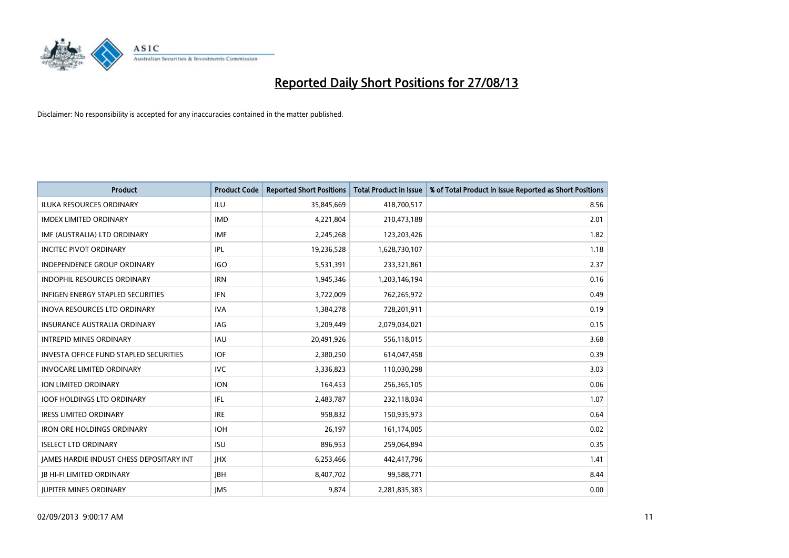

| <b>Product</b>                                | <b>Product Code</b> | <b>Reported Short Positions</b> | <b>Total Product in Issue</b> | % of Total Product in Issue Reported as Short Positions |
|-----------------------------------------------|---------------------|---------------------------------|-------------------------------|---------------------------------------------------------|
| <b>ILUKA RESOURCES ORDINARY</b>               | ILU                 | 35,845,669                      | 418,700,517                   | 8.56                                                    |
| <b>IMDEX LIMITED ORDINARY</b>                 | <b>IMD</b>          | 4,221,804                       | 210,473,188                   | 2.01                                                    |
| IMF (AUSTRALIA) LTD ORDINARY                  | <b>IMF</b>          | 2,245,268                       | 123,203,426                   | 1.82                                                    |
| <b>INCITEC PIVOT ORDINARY</b>                 | <b>IPL</b>          | 19,236,528                      | 1,628,730,107                 | 1.18                                                    |
| <b>INDEPENDENCE GROUP ORDINARY</b>            | <b>IGO</b>          | 5,531,391                       | 233,321,861                   | 2.37                                                    |
| <b>INDOPHIL RESOURCES ORDINARY</b>            | <b>IRN</b>          | 1,945,346                       | 1,203,146,194                 | 0.16                                                    |
| <b>INFIGEN ENERGY STAPLED SECURITIES</b>      | <b>IFN</b>          | 3,722,009                       | 762,265,972                   | 0.49                                                    |
| <b>INOVA RESOURCES LTD ORDINARY</b>           | <b>IVA</b>          | 1,384,278                       | 728,201,911                   | 0.19                                                    |
| <b>INSURANCE AUSTRALIA ORDINARY</b>           | IAG                 | 3,209,449                       | 2,079,034,021                 | 0.15                                                    |
| <b>INTREPID MINES ORDINARY</b>                | <b>IAU</b>          | 20,491,926                      | 556,118,015                   | 3.68                                                    |
| <b>INVESTA OFFICE FUND STAPLED SECURITIES</b> | <b>IOF</b>          | 2,380,250                       | 614,047,458                   | 0.39                                                    |
| <b>INVOCARE LIMITED ORDINARY</b>              | <b>IVC</b>          | 3,336,823                       | 110,030,298                   | 3.03                                                    |
| <b>ION LIMITED ORDINARY</b>                   | <b>ION</b>          | 164,453                         | 256,365,105                   | 0.06                                                    |
| <b>IOOF HOLDINGS LTD ORDINARY</b>             | IFL                 | 2,483,787                       | 232,118,034                   | 1.07                                                    |
| <b>IRESS LIMITED ORDINARY</b>                 | <b>IRE</b>          | 958,832                         | 150,935,973                   | 0.64                                                    |
| <b>IRON ORE HOLDINGS ORDINARY</b>             | <b>IOH</b>          | 26,197                          | 161,174,005                   | 0.02                                                    |
| <b>ISELECT LTD ORDINARY</b>                   | <b>ISU</b>          | 896,953                         | 259,064,894                   | 0.35                                                    |
| JAMES HARDIE INDUST CHESS DEPOSITARY INT      | <b>IHX</b>          | 6,253,466                       | 442,417,796                   | 1.41                                                    |
| <b>IB HI-FI LIMITED ORDINARY</b>              | <b>IBH</b>          | 8,407,702                       | 99,588,771                    | 8.44                                                    |
| <b>IUPITER MINES ORDINARY</b>                 | <b>IMS</b>          | 9,874                           | 2,281,835,383                 | 0.00                                                    |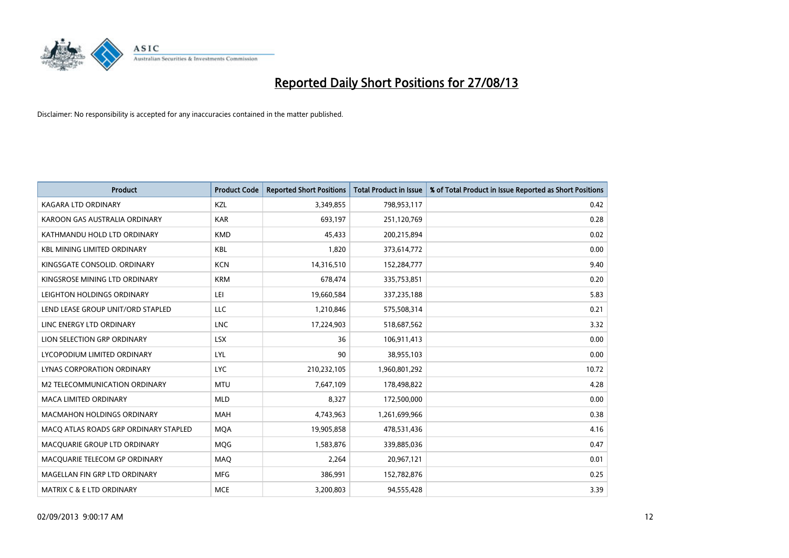

| <b>Product</b>                        | <b>Product Code</b> | <b>Reported Short Positions</b> | <b>Total Product in Issue</b> | % of Total Product in Issue Reported as Short Positions |
|---------------------------------------|---------------------|---------------------------------|-------------------------------|---------------------------------------------------------|
| <b>KAGARA LTD ORDINARY</b>            | KZL                 | 3,349,855                       | 798,953,117                   | 0.42                                                    |
| KAROON GAS AUSTRALIA ORDINARY         | <b>KAR</b>          | 693,197                         | 251,120,769                   | 0.28                                                    |
| KATHMANDU HOLD LTD ORDINARY           | <b>KMD</b>          | 45,433                          | 200,215,894                   | 0.02                                                    |
| <b>KBL MINING LIMITED ORDINARY</b>    | <b>KBL</b>          | 1,820                           | 373,614,772                   | 0.00                                                    |
| KINGSGATE CONSOLID. ORDINARY          | <b>KCN</b>          | 14,316,510                      | 152,284,777                   | 9.40                                                    |
| KINGSROSE MINING LTD ORDINARY         | <b>KRM</b>          | 678,474                         | 335,753,851                   | 0.20                                                    |
| LEIGHTON HOLDINGS ORDINARY            | LEI                 | 19,660,584                      | 337,235,188                   | 5.83                                                    |
| LEND LEASE GROUP UNIT/ORD STAPLED     | LLC                 | 1,210,846                       | 575,508,314                   | 0.21                                                    |
| LINC ENERGY LTD ORDINARY              | <b>LNC</b>          | 17,224,903                      | 518,687,562                   | 3.32                                                    |
| LION SELECTION GRP ORDINARY           | <b>LSX</b>          | 36                              | 106,911,413                   | 0.00                                                    |
| LYCOPODIUM LIMITED ORDINARY           | LYL                 | 90                              | 38,955,103                    | 0.00                                                    |
| <b>LYNAS CORPORATION ORDINARY</b>     | <b>LYC</b>          | 210,232,105                     | 1,960,801,292                 | 10.72                                                   |
| M2 TELECOMMUNICATION ORDINARY         | <b>MTU</b>          | 7,647,109                       | 178,498,822                   | 4.28                                                    |
| <b>MACA LIMITED ORDINARY</b>          | <b>MLD</b>          | 8,327                           | 172,500,000                   | 0.00                                                    |
| <b>MACMAHON HOLDINGS ORDINARY</b>     | <b>MAH</b>          | 4,743,963                       | 1,261,699,966                 | 0.38                                                    |
| MACO ATLAS ROADS GRP ORDINARY STAPLED | <b>MOA</b>          | 19,905,858                      | 478,531,436                   | 4.16                                                    |
| MACQUARIE GROUP LTD ORDINARY          | MQG                 | 1,583,876                       | 339,885,036                   | 0.47                                                    |
| MACQUARIE TELECOM GP ORDINARY         | MAQ                 | 2,264                           | 20,967,121                    | 0.01                                                    |
| MAGELLAN FIN GRP LTD ORDINARY         | <b>MFG</b>          | 386,991                         | 152,782,876                   | 0.25                                                    |
| <b>MATRIX C &amp; E LTD ORDINARY</b>  | <b>MCE</b>          | 3,200,803                       | 94,555,428                    | 3.39                                                    |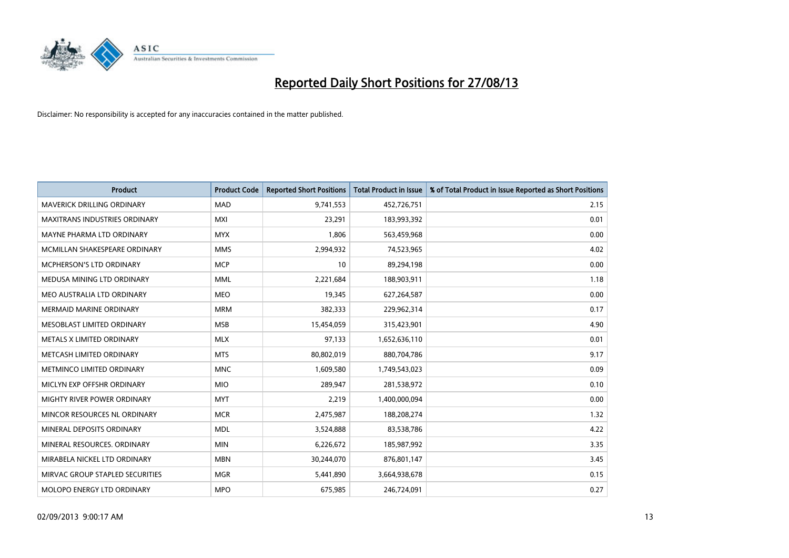

| <b>Product</b>                    | <b>Product Code</b> | <b>Reported Short Positions</b> | <b>Total Product in Issue</b> | % of Total Product in Issue Reported as Short Positions |
|-----------------------------------|---------------------|---------------------------------|-------------------------------|---------------------------------------------------------|
| <b>MAVERICK DRILLING ORDINARY</b> | <b>MAD</b>          | 9,741,553                       | 452,726,751                   | 2.15                                                    |
| MAXITRANS INDUSTRIES ORDINARY     | MXI                 | 23,291                          | 183,993,392                   | 0.01                                                    |
| MAYNE PHARMA LTD ORDINARY         | <b>MYX</b>          | 1,806                           | 563,459,968                   | 0.00                                                    |
| MCMILLAN SHAKESPEARE ORDINARY     | <b>MMS</b>          | 2,994,932                       | 74,523,965                    | 4.02                                                    |
| <b>MCPHERSON'S LTD ORDINARY</b>   | <b>MCP</b>          | 10                              | 89,294,198                    | 0.00                                                    |
| MEDUSA MINING LTD ORDINARY        | <b>MML</b>          | 2,221,684                       | 188,903,911                   | 1.18                                                    |
| MEO AUSTRALIA LTD ORDINARY        | <b>MEO</b>          | 19,345                          | 627,264,587                   | 0.00                                                    |
| <b>MERMAID MARINE ORDINARY</b>    | <b>MRM</b>          | 382,333                         | 229,962,314                   | 0.17                                                    |
| MESOBLAST LIMITED ORDINARY        | <b>MSB</b>          | 15,454,059                      | 315,423,901                   | 4.90                                                    |
| METALS X LIMITED ORDINARY         | <b>MLX</b>          | 97,133                          | 1,652,636,110                 | 0.01                                                    |
| METCASH LIMITED ORDINARY          | <b>MTS</b>          | 80,802,019                      | 880,704,786                   | 9.17                                                    |
| METMINCO LIMITED ORDINARY         | <b>MNC</b>          | 1,609,580                       | 1,749,543,023                 | 0.09                                                    |
| MICLYN EXP OFFSHR ORDINARY        | <b>MIO</b>          | 289,947                         | 281,538,972                   | 0.10                                                    |
| MIGHTY RIVER POWER ORDINARY       | <b>MYT</b>          | 2,219                           | 1,400,000,094                 | 0.00                                                    |
| MINCOR RESOURCES NL ORDINARY      | <b>MCR</b>          | 2,475,987                       | 188,208,274                   | 1.32                                                    |
| MINERAL DEPOSITS ORDINARY         | <b>MDL</b>          | 3,524,888                       | 83,538,786                    | 4.22                                                    |
| MINERAL RESOURCES. ORDINARY       | <b>MIN</b>          | 6,226,672                       | 185,987,992                   | 3.35                                                    |
| MIRABELA NICKEL LTD ORDINARY      | <b>MBN</b>          | 30,244,070                      | 876,801,147                   | 3.45                                                    |
| MIRVAC GROUP STAPLED SECURITIES   | <b>MGR</b>          | 5,441,890                       | 3,664,938,678                 | 0.15                                                    |
| MOLOPO ENERGY LTD ORDINARY        | <b>MPO</b>          | 675,985                         | 246,724,091                   | 0.27                                                    |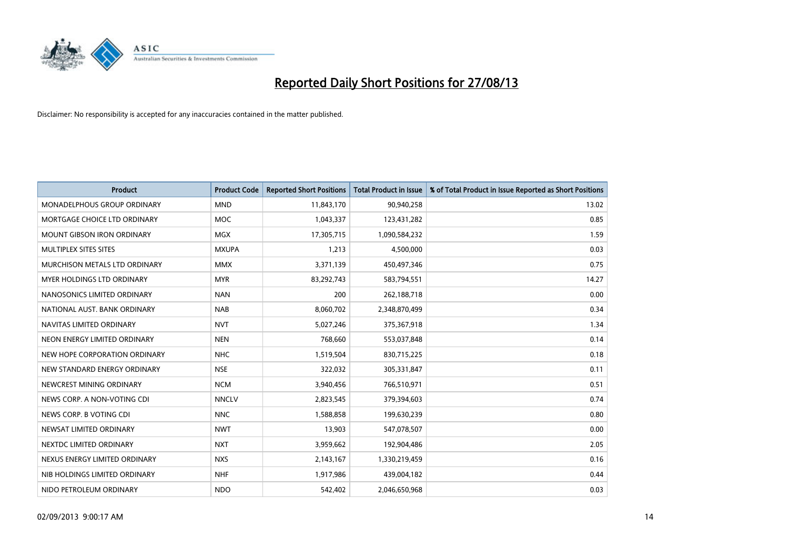

| <b>Product</b>                     | <b>Product Code</b> | <b>Reported Short Positions</b> | <b>Total Product in Issue</b> | % of Total Product in Issue Reported as Short Positions |
|------------------------------------|---------------------|---------------------------------|-------------------------------|---------------------------------------------------------|
| <b>MONADELPHOUS GROUP ORDINARY</b> | <b>MND</b>          | 11,843,170                      | 90,940,258                    | 13.02                                                   |
| MORTGAGE CHOICE LTD ORDINARY       | <b>MOC</b>          | 1,043,337                       | 123,431,282                   | 0.85                                                    |
| <b>MOUNT GIBSON IRON ORDINARY</b>  | <b>MGX</b>          | 17,305,715                      | 1,090,584,232                 | 1.59                                                    |
| MULTIPLEX SITES SITES              | <b>MXUPA</b>        | 1,213                           | 4,500,000                     | 0.03                                                    |
| MURCHISON METALS LTD ORDINARY      | <b>MMX</b>          | 3,371,139                       | 450,497,346                   | 0.75                                                    |
| MYER HOLDINGS LTD ORDINARY         | <b>MYR</b>          | 83,292,743                      | 583,794,551                   | 14.27                                                   |
| NANOSONICS LIMITED ORDINARY        | <b>NAN</b>          | 200                             | 262,188,718                   | 0.00                                                    |
| NATIONAL AUST. BANK ORDINARY       | <b>NAB</b>          | 8,060,702                       | 2,348,870,499                 | 0.34                                                    |
| NAVITAS LIMITED ORDINARY           | <b>NVT</b>          | 5,027,246                       | 375,367,918                   | 1.34                                                    |
| NEON ENERGY LIMITED ORDINARY       | <b>NEN</b>          | 768,660                         | 553,037,848                   | 0.14                                                    |
| NEW HOPE CORPORATION ORDINARY      | <b>NHC</b>          | 1,519,504                       | 830,715,225                   | 0.18                                                    |
| NEW STANDARD ENERGY ORDINARY       | <b>NSE</b>          | 322,032                         | 305,331,847                   | 0.11                                                    |
| NEWCREST MINING ORDINARY           | <b>NCM</b>          | 3,940,456                       | 766,510,971                   | 0.51                                                    |
| NEWS CORP. A NON-VOTING CDI        | <b>NNCLV</b>        | 2,823,545                       | 379,394,603                   | 0.74                                                    |
| NEWS CORP. B VOTING CDI            | <b>NNC</b>          | 1,588,858                       | 199,630,239                   | 0.80                                                    |
| NEWSAT LIMITED ORDINARY            | <b>NWT</b>          | 13,903                          | 547,078,507                   | 0.00                                                    |
| NEXTDC LIMITED ORDINARY            | <b>NXT</b>          | 3,959,662                       | 192,904,486                   | 2.05                                                    |
| NEXUS ENERGY LIMITED ORDINARY      | <b>NXS</b>          | 2,143,167                       | 1,330,219,459                 | 0.16                                                    |
| NIB HOLDINGS LIMITED ORDINARY      | <b>NHF</b>          | 1,917,986                       | 439,004,182                   | 0.44                                                    |
| NIDO PETROLEUM ORDINARY            | <b>NDO</b>          | 542,402                         | 2,046,650,968                 | 0.03                                                    |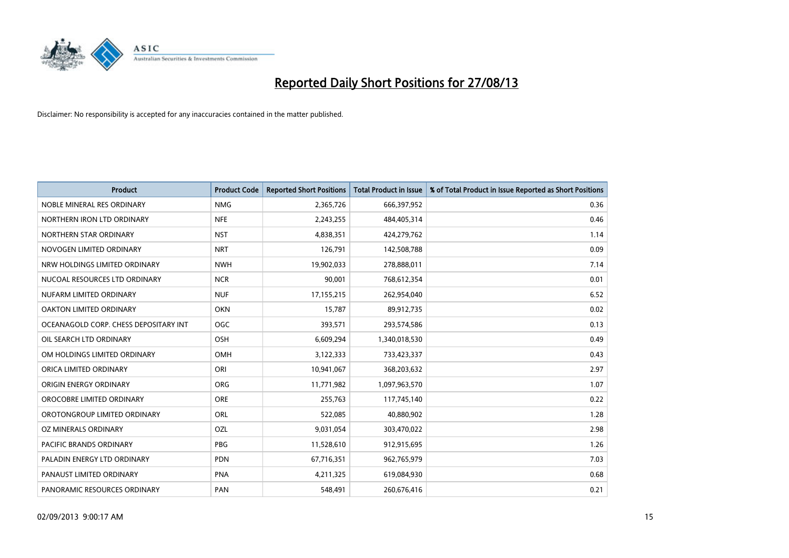

| <b>Product</b>                        | <b>Product Code</b> | <b>Reported Short Positions</b> | <b>Total Product in Issue</b> | % of Total Product in Issue Reported as Short Positions |
|---------------------------------------|---------------------|---------------------------------|-------------------------------|---------------------------------------------------------|
| NOBLE MINERAL RES ORDINARY            | <b>NMG</b>          | 2,365,726                       | 666,397,952                   | 0.36                                                    |
| NORTHERN IRON LTD ORDINARY            | <b>NFE</b>          | 2,243,255                       | 484,405,314                   | 0.46                                                    |
| NORTHERN STAR ORDINARY                | <b>NST</b>          | 4,838,351                       | 424,279,762                   | 1.14                                                    |
| NOVOGEN LIMITED ORDINARY              | <b>NRT</b>          | 126,791                         | 142,508,788                   | 0.09                                                    |
| NRW HOLDINGS LIMITED ORDINARY         | <b>NWH</b>          | 19,902,033                      | 278,888,011                   | 7.14                                                    |
| NUCOAL RESOURCES LTD ORDINARY         | <b>NCR</b>          | 90,001                          | 768,612,354                   | 0.01                                                    |
| NUFARM LIMITED ORDINARY               | <b>NUF</b>          | 17,155,215                      | 262,954,040                   | 6.52                                                    |
| <b>OAKTON LIMITED ORDINARY</b>        | <b>OKN</b>          | 15,787                          | 89,912,735                    | 0.02                                                    |
| OCEANAGOLD CORP. CHESS DEPOSITARY INT | OGC                 | 393,571                         | 293,574,586                   | 0.13                                                    |
| OIL SEARCH LTD ORDINARY               | <b>OSH</b>          | 6,609,294                       | 1,340,018,530                 | 0.49                                                    |
| OM HOLDINGS LIMITED ORDINARY          | OMH                 | 3,122,333                       | 733,423,337                   | 0.43                                                    |
| ORICA LIMITED ORDINARY                | ORI                 | 10,941,067                      | 368,203,632                   | 2.97                                                    |
| ORIGIN ENERGY ORDINARY                | ORG                 | 11,771,982                      | 1,097,963,570                 | 1.07                                                    |
| OROCOBRE LIMITED ORDINARY             | <b>ORE</b>          | 255,763                         | 117,745,140                   | 0.22                                                    |
| OROTONGROUP LIMITED ORDINARY          | <b>ORL</b>          | 522,085                         | 40,880,902                    | 1.28                                                    |
| OZ MINERALS ORDINARY                  | OZL                 | 9,031,054                       | 303,470,022                   | 2.98                                                    |
| PACIFIC BRANDS ORDINARY               | <b>PBG</b>          | 11,528,610                      | 912,915,695                   | 1.26                                                    |
| PALADIN ENERGY LTD ORDINARY           | <b>PDN</b>          | 67,716,351                      | 962,765,979                   | 7.03                                                    |
| PANAUST LIMITED ORDINARY              | <b>PNA</b>          | 4,211,325                       | 619,084,930                   | 0.68                                                    |
| PANORAMIC RESOURCES ORDINARY          | PAN                 | 548,491                         | 260,676,416                   | 0.21                                                    |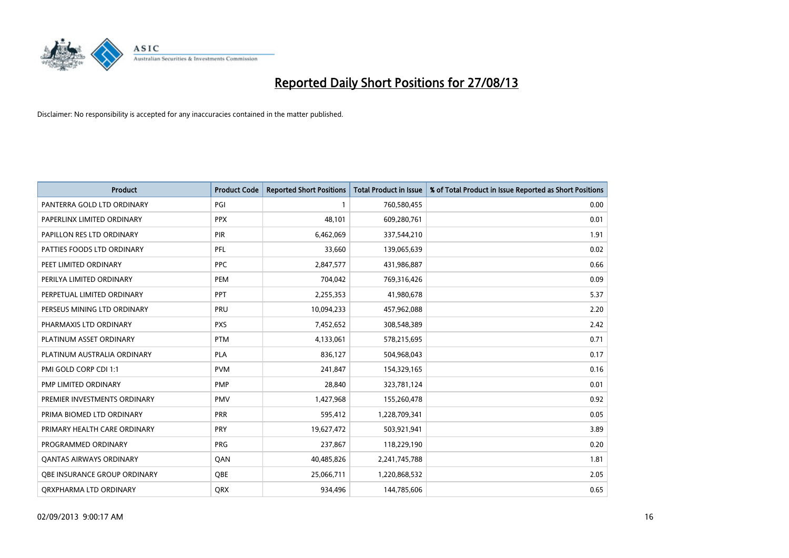

| <b>Product</b>                 | <b>Product Code</b> | <b>Reported Short Positions</b> | <b>Total Product in Issue</b> | % of Total Product in Issue Reported as Short Positions |
|--------------------------------|---------------------|---------------------------------|-------------------------------|---------------------------------------------------------|
| PANTERRA GOLD LTD ORDINARY     | PGI                 | $\mathbf{1}$                    | 760,580,455                   | 0.00                                                    |
| PAPERLINX LIMITED ORDINARY     | <b>PPX</b>          | 48.101                          | 609,280,761                   | 0.01                                                    |
| PAPILLON RES LTD ORDINARY      | PIR                 | 6,462,069                       | 337,544,210                   | 1.91                                                    |
| PATTIES FOODS LTD ORDINARY     | PFL                 | 33,660                          | 139,065,639                   | 0.02                                                    |
| PEET LIMITED ORDINARY          | <b>PPC</b>          | 2,847,577                       | 431,986,887                   | 0.66                                                    |
| PERILYA LIMITED ORDINARY       | PEM                 | 704,042                         | 769,316,426                   | 0.09                                                    |
| PERPETUAL LIMITED ORDINARY     | <b>PPT</b>          | 2,255,353                       | 41,980,678                    | 5.37                                                    |
| PERSEUS MINING LTD ORDINARY    | PRU                 | 10,094,233                      | 457,962,088                   | 2.20                                                    |
| PHARMAXIS LTD ORDINARY         | <b>PXS</b>          | 7,452,652                       | 308,548,389                   | 2.42                                                    |
| PLATINUM ASSET ORDINARY        | <b>PTM</b>          | 4,133,061                       | 578,215,695                   | 0.71                                                    |
| PLATINUM AUSTRALIA ORDINARY    | <b>PLA</b>          | 836,127                         | 504,968,043                   | 0.17                                                    |
| PMI GOLD CORP CDI 1:1          | <b>PVM</b>          | 241,847                         | 154,329,165                   | 0.16                                                    |
| PMP LIMITED ORDINARY           | <b>PMP</b>          | 28,840                          | 323,781,124                   | 0.01                                                    |
| PREMIER INVESTMENTS ORDINARY   | <b>PMV</b>          | 1,427,968                       | 155,260,478                   | 0.92                                                    |
| PRIMA BIOMED LTD ORDINARY      | <b>PRR</b>          | 595,412                         | 1,228,709,341                 | 0.05                                                    |
| PRIMARY HEALTH CARE ORDINARY   | <b>PRY</b>          | 19,627,472                      | 503,921,941                   | 3.89                                                    |
| PROGRAMMED ORDINARY            | <b>PRG</b>          | 237,867                         | 118,229,190                   | 0.20                                                    |
| <b>QANTAS AIRWAYS ORDINARY</b> | QAN                 | 40,485,826                      | 2,241,745,788                 | 1.81                                                    |
| OBE INSURANCE GROUP ORDINARY   | <b>QBE</b>          | 25,066,711                      | 1,220,868,532                 | 2.05                                                    |
| ORXPHARMA LTD ORDINARY         | QRX                 | 934,496                         | 144,785,606                   | 0.65                                                    |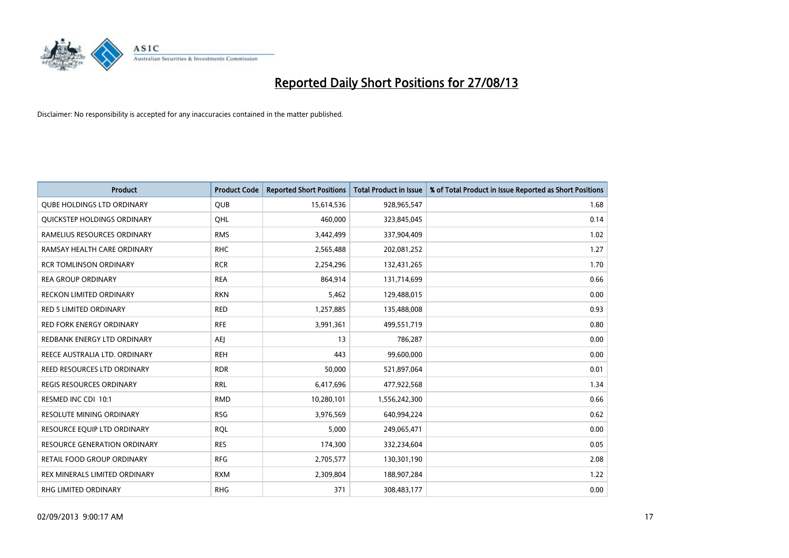

| <b>Product</b>                      | <b>Product Code</b> | <b>Reported Short Positions</b> | <b>Total Product in Issue</b> | % of Total Product in Issue Reported as Short Positions |
|-------------------------------------|---------------------|---------------------------------|-------------------------------|---------------------------------------------------------|
| <b>QUBE HOLDINGS LTD ORDINARY</b>   | <b>QUB</b>          | 15,614,536                      | 928,965,547                   | 1.68                                                    |
| QUICKSTEP HOLDINGS ORDINARY         | OHL                 | 460,000                         | 323,845,045                   | 0.14                                                    |
| RAMELIUS RESOURCES ORDINARY         | <b>RMS</b>          | 3,442,499                       | 337,904,409                   | 1.02                                                    |
| RAMSAY HEALTH CARE ORDINARY         | <b>RHC</b>          | 2,565,488                       | 202,081,252                   | 1.27                                                    |
| <b>RCR TOMLINSON ORDINARY</b>       | <b>RCR</b>          | 2,254,296                       | 132,431,265                   | 1.70                                                    |
| <b>REA GROUP ORDINARY</b>           | <b>REA</b>          | 864,914                         | 131,714,699                   | 0.66                                                    |
| RECKON LIMITED ORDINARY             | <b>RKN</b>          | 5,462                           | 129,488,015                   | 0.00                                                    |
| RED 5 LIMITED ORDINARY              | <b>RED</b>          | 1,257,885                       | 135,488,008                   | 0.93                                                    |
| <b>RED FORK ENERGY ORDINARY</b>     | <b>RFE</b>          | 3,991,361                       | 499,551,719                   | 0.80                                                    |
| REDBANK ENERGY LTD ORDINARY         | <b>AEI</b>          | 13                              | 786,287                       | 0.00                                                    |
| REECE AUSTRALIA LTD. ORDINARY       | <b>REH</b>          | 443                             | 99,600,000                    | 0.00                                                    |
| <b>REED RESOURCES LTD ORDINARY</b>  | <b>RDR</b>          | 50,000                          | 521,897,064                   | 0.01                                                    |
| REGIS RESOURCES ORDINARY            | <b>RRL</b>          | 6,417,696                       | 477,922,568                   | 1.34                                                    |
| RESMED INC CDI 10:1                 | <b>RMD</b>          | 10,280,101                      | 1,556,242,300                 | 0.66                                                    |
| <b>RESOLUTE MINING ORDINARY</b>     | <b>RSG</b>          | 3,976,569                       | 640,994,224                   | 0.62                                                    |
| RESOURCE EQUIP LTD ORDINARY         | <b>RQL</b>          | 5,000                           | 249,065,471                   | 0.00                                                    |
| <b>RESOURCE GENERATION ORDINARY</b> | <b>RES</b>          | 174,300                         | 332,234,604                   | 0.05                                                    |
| RETAIL FOOD GROUP ORDINARY          | <b>RFG</b>          | 2,705,577                       | 130,301,190                   | 2.08                                                    |
| REX MINERALS LIMITED ORDINARY       | <b>RXM</b>          | 2,309,804                       | 188,907,284                   | 1.22                                                    |
| RHG LIMITED ORDINARY                | <b>RHG</b>          | 371                             | 308,483,177                   | 0.00                                                    |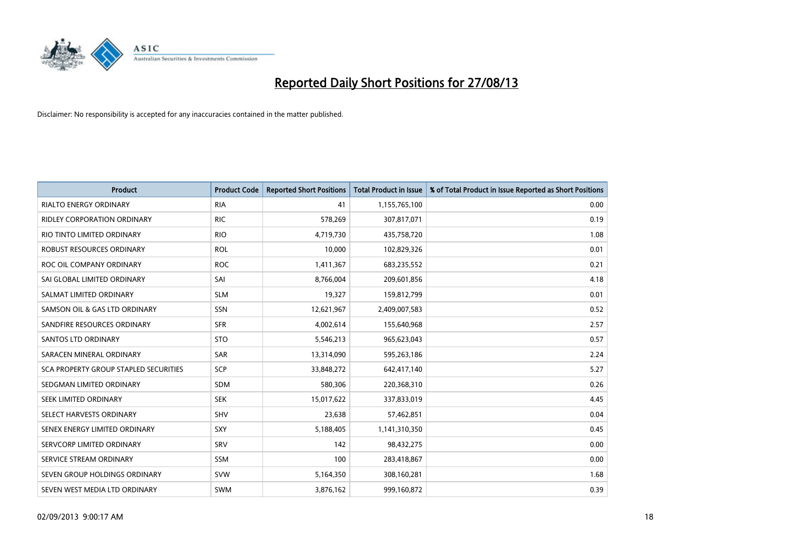

| <b>Product</b>                               | <b>Product Code</b> | <b>Reported Short Positions</b> | <b>Total Product in Issue</b> | % of Total Product in Issue Reported as Short Positions |
|----------------------------------------------|---------------------|---------------------------------|-------------------------------|---------------------------------------------------------|
| <b>RIALTO ENERGY ORDINARY</b>                | <b>RIA</b>          | 41                              | 1,155,765,100                 | 0.00                                                    |
| <b>RIDLEY CORPORATION ORDINARY</b>           | <b>RIC</b>          | 578,269                         | 307,817,071                   | 0.19                                                    |
| RIO TINTO LIMITED ORDINARY                   | <b>RIO</b>          | 4,719,730                       | 435,758,720                   | 1.08                                                    |
| ROBUST RESOURCES ORDINARY                    | <b>ROL</b>          | 10,000                          | 102,829,326                   | 0.01                                                    |
| ROC OIL COMPANY ORDINARY                     | <b>ROC</b>          | 1,411,367                       | 683,235,552                   | 0.21                                                    |
| SAI GLOBAL LIMITED ORDINARY                  | SAI                 | 8,766,004                       | 209,601,856                   | 4.18                                                    |
| SALMAT LIMITED ORDINARY                      | <b>SLM</b>          | 19,327                          | 159,812,799                   | 0.01                                                    |
| SAMSON OIL & GAS LTD ORDINARY                | SSN                 | 12,621,967                      | 2,409,007,583                 | 0.52                                                    |
| SANDFIRE RESOURCES ORDINARY                  | <b>SFR</b>          | 4,002,614                       | 155,640,968                   | 2.57                                                    |
| SANTOS LTD ORDINARY                          | <b>STO</b>          | 5,546,213                       | 965,623,043                   | 0.57                                                    |
| SARACEN MINERAL ORDINARY                     | <b>SAR</b>          | 13,314,090                      | 595,263,186                   | 2.24                                                    |
| <b>SCA PROPERTY GROUP STAPLED SECURITIES</b> | SCP                 | 33,848,272                      | 642,417,140                   | 5.27                                                    |
| SEDGMAN LIMITED ORDINARY                     | <b>SDM</b>          | 580,306                         | 220,368,310                   | 0.26                                                    |
| SEEK LIMITED ORDINARY                        | <b>SEK</b>          | 15,017,622                      | 337,833,019                   | 4.45                                                    |
| SELECT HARVESTS ORDINARY                     | SHV                 | 23,638                          | 57,462,851                    | 0.04                                                    |
| SENEX ENERGY LIMITED ORDINARY                | SXY                 | 5,188,405                       | 1,141,310,350                 | 0.45                                                    |
| SERVCORP LIMITED ORDINARY                    | SRV                 | 142                             | 98,432,275                    | 0.00                                                    |
| SERVICE STREAM ORDINARY                      | <b>SSM</b>          | 100                             | 283,418,867                   | 0.00                                                    |
| SEVEN GROUP HOLDINGS ORDINARY                | <b>SVW</b>          | 5,164,350                       | 308,160,281                   | 1.68                                                    |
| SEVEN WEST MEDIA LTD ORDINARY                | <b>SWM</b>          | 3,876,162                       | 999,160,872                   | 0.39                                                    |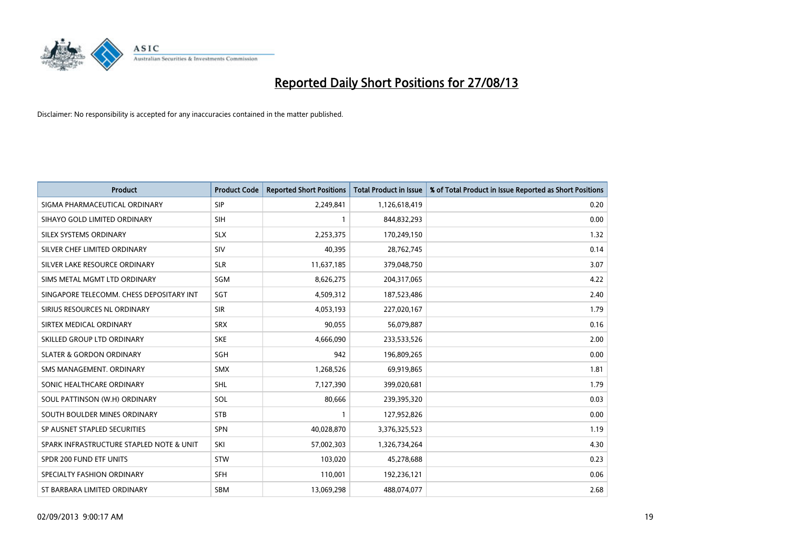

| <b>Product</b>                           | <b>Product Code</b> | <b>Reported Short Positions</b> | <b>Total Product in Issue</b> | % of Total Product in Issue Reported as Short Positions |
|------------------------------------------|---------------------|---------------------------------|-------------------------------|---------------------------------------------------------|
| SIGMA PHARMACEUTICAL ORDINARY            | <b>SIP</b>          | 2,249,841                       | 1,126,618,419                 | 0.20                                                    |
| SIHAYO GOLD LIMITED ORDINARY             | <b>SIH</b>          | 1                               | 844,832,293                   | 0.00                                                    |
| SILEX SYSTEMS ORDINARY                   | <b>SLX</b>          | 2,253,375                       | 170,249,150                   | 1.32                                                    |
| SILVER CHEF LIMITED ORDINARY             | <b>SIV</b>          | 40,395                          | 28,762,745                    | 0.14                                                    |
| SILVER LAKE RESOURCE ORDINARY            | <b>SLR</b>          | 11,637,185                      | 379,048,750                   | 3.07                                                    |
| SIMS METAL MGMT LTD ORDINARY             | SGM                 | 8,626,275                       | 204,317,065                   | 4.22                                                    |
| SINGAPORE TELECOMM. CHESS DEPOSITARY INT | <b>SGT</b>          | 4,509,312                       | 187,523,486                   | 2.40                                                    |
| SIRIUS RESOURCES NL ORDINARY             | <b>SIR</b>          | 4,053,193                       | 227,020,167                   | 1.79                                                    |
| SIRTEX MEDICAL ORDINARY                  | <b>SRX</b>          | 90,055                          | 56,079,887                    | 0.16                                                    |
| SKILLED GROUP LTD ORDINARY               | <b>SKE</b>          | 4,666,090                       | 233,533,526                   | 2.00                                                    |
| <b>SLATER &amp; GORDON ORDINARY</b>      | SGH                 | 942                             | 196,809,265                   | 0.00                                                    |
| SMS MANAGEMENT. ORDINARY                 | <b>SMX</b>          | 1,268,526                       | 69,919,865                    | 1.81                                                    |
| SONIC HEALTHCARE ORDINARY                | SHL                 | 7,127,390                       | 399,020,681                   | 1.79                                                    |
| SOUL PATTINSON (W.H) ORDINARY            | SOL                 | 80,666                          | 239,395,320                   | 0.03                                                    |
| SOUTH BOULDER MINES ORDINARY             | <b>STB</b>          | 1                               | 127,952,826                   | 0.00                                                    |
| SP AUSNET STAPLED SECURITIES             | SPN                 | 40,028,870                      | 3,376,325,523                 | 1.19                                                    |
| SPARK INFRASTRUCTURE STAPLED NOTE & UNIT | SKI                 | 57,002,303                      | 1,326,734,264                 | 4.30                                                    |
| SPDR 200 FUND ETF UNITS                  | <b>STW</b>          | 103,020                         | 45,278,688                    | 0.23                                                    |
| SPECIALTY FASHION ORDINARY               | <b>SFH</b>          | 110,001                         | 192,236,121                   | 0.06                                                    |
| ST BARBARA LIMITED ORDINARY              | <b>SBM</b>          | 13,069,298                      | 488,074,077                   | 2.68                                                    |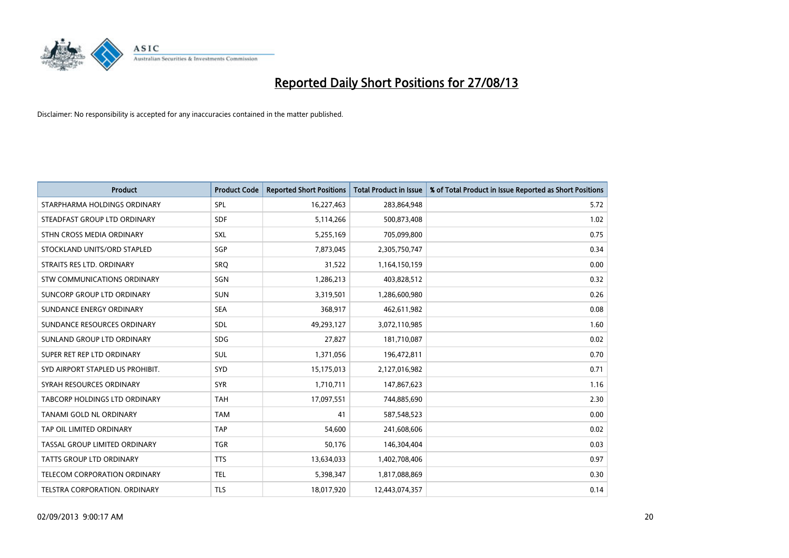

| <b>Product</b>                   | <b>Product Code</b> | <b>Reported Short Positions</b> | <b>Total Product in Issue</b> | % of Total Product in Issue Reported as Short Positions |
|----------------------------------|---------------------|---------------------------------|-------------------------------|---------------------------------------------------------|
| STARPHARMA HOLDINGS ORDINARY     | SPL                 | 16,227,463                      | 283,864,948                   | 5.72                                                    |
| STEADFAST GROUP LTD ORDINARY     | <b>SDF</b>          | 5,114,266                       | 500,873,408                   | 1.02                                                    |
| STHN CROSS MEDIA ORDINARY        | <b>SXL</b>          | 5,255,169                       | 705,099,800                   | 0.75                                                    |
| STOCKLAND UNITS/ORD STAPLED      | SGP                 | 7,873,045                       | 2,305,750,747                 | 0.34                                                    |
| STRAITS RES LTD. ORDINARY        | SRO                 | 31,522                          | 1,164,150,159                 | 0.00                                                    |
| STW COMMUNICATIONS ORDINARY      | SGN                 | 1,286,213                       | 403,828,512                   | 0.32                                                    |
| SUNCORP GROUP LTD ORDINARY       | <b>SUN</b>          | 3,319,501                       | 1,286,600,980                 | 0.26                                                    |
| SUNDANCE ENERGY ORDINARY         | <b>SEA</b>          | 368,917                         | 462,611,982                   | 0.08                                                    |
| SUNDANCE RESOURCES ORDINARY      | SDL                 | 49,293,127                      | 3,072,110,985                 | 1.60                                                    |
| SUNLAND GROUP LTD ORDINARY       | <b>SDG</b>          | 27,827                          | 181,710,087                   | 0.02                                                    |
| SUPER RET REP LTD ORDINARY       | SUL                 | 1,371,056                       | 196,472,811                   | 0.70                                                    |
| SYD AIRPORT STAPLED US PROHIBIT. | SYD                 | 15,175,013                      | 2,127,016,982                 | 0.71                                                    |
| SYRAH RESOURCES ORDINARY         | <b>SYR</b>          | 1,710,711                       | 147,867,623                   | 1.16                                                    |
| TABCORP HOLDINGS LTD ORDINARY    | <b>TAH</b>          | 17,097,551                      | 744,885,690                   | 2.30                                                    |
| <b>TANAMI GOLD NL ORDINARY</b>   | <b>TAM</b>          | 41                              | 587,548,523                   | 0.00                                                    |
| TAP OIL LIMITED ORDINARY         | <b>TAP</b>          | 54,600                          | 241,608,606                   | 0.02                                                    |
| TASSAL GROUP LIMITED ORDINARY    | <b>TGR</b>          | 50,176                          | 146,304,404                   | 0.03                                                    |
| TATTS GROUP LTD ORDINARY         | <b>TTS</b>          | 13,634,033                      | 1,402,708,406                 | 0.97                                                    |
| TELECOM CORPORATION ORDINARY     | <b>TEL</b>          | 5,398,347                       | 1,817,088,869                 | 0.30                                                    |
| TELSTRA CORPORATION. ORDINARY    | <b>TLS</b>          | 18,017,920                      | 12,443,074,357                | 0.14                                                    |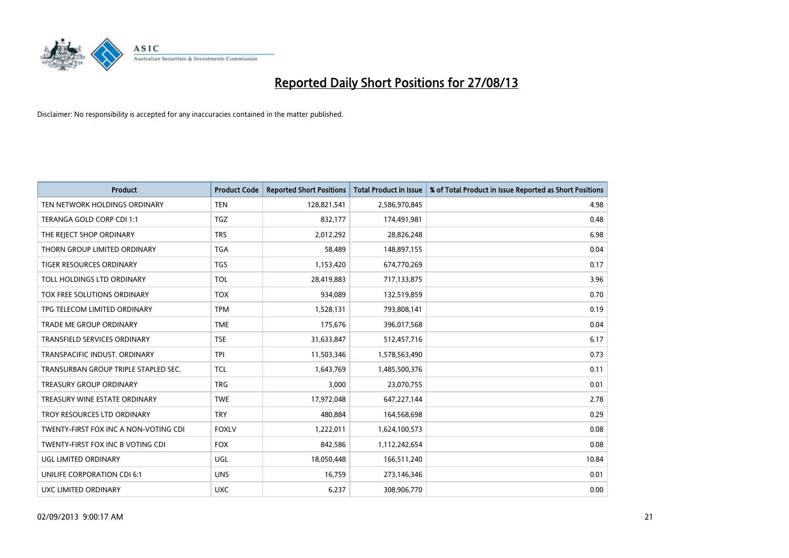

| <b>Product</b>                        | <b>Product Code</b> | <b>Reported Short Positions</b> | <b>Total Product in Issue</b> | % of Total Product in Issue Reported as Short Positions |
|---------------------------------------|---------------------|---------------------------------|-------------------------------|---------------------------------------------------------|
| TEN NETWORK HOLDINGS ORDINARY         | <b>TEN</b>          | 128,821,541                     | 2,586,970,845                 | 4.98                                                    |
| TERANGA GOLD CORP CDI 1:1             | <b>TGZ</b>          | 832,177                         | 174,491,981                   | 0.48                                                    |
| THE REJECT SHOP ORDINARY              | <b>TRS</b>          | 2,012,292                       | 28,826,248                    | 6.98                                                    |
| THORN GROUP LIMITED ORDINARY          | <b>TGA</b>          | 58,489                          | 148,897,155                   | 0.04                                                    |
| <b>TIGER RESOURCES ORDINARY</b>       | <b>TGS</b>          | 1,153,420                       | 674,770,269                   | 0.17                                                    |
| TOLL HOLDINGS LTD ORDINARY            | <b>TOL</b>          | 28,419,883                      | 717,133,875                   | 3.96                                                    |
| TOX FREE SOLUTIONS ORDINARY           | <b>TOX</b>          | 934,089                         | 132,519,859                   | 0.70                                                    |
| TPG TELECOM LIMITED ORDINARY          | <b>TPM</b>          | 1,528,131                       | 793,808,141                   | 0.19                                                    |
| <b>TRADE ME GROUP ORDINARY</b>        | <b>TME</b>          | 175,676                         | 396,017,568                   | 0.04                                                    |
| <b>TRANSFIELD SERVICES ORDINARY</b>   | <b>TSE</b>          | 31,633,847                      | 512,457,716                   | 6.17                                                    |
| TRANSPACIFIC INDUST. ORDINARY         | <b>TPI</b>          | 11,503,346                      | 1,578,563,490                 | 0.73                                                    |
| TRANSURBAN GROUP TRIPLE STAPLED SEC.  | TCL                 | 1,643,769                       | 1,485,500,376                 | 0.11                                                    |
| <b>TREASURY GROUP ORDINARY</b>        | <b>TRG</b>          | 3,000                           | 23,070,755                    | 0.01                                                    |
| TREASURY WINE ESTATE ORDINARY         | <b>TWE</b>          | 17,972,048                      | 647,227,144                   | 2.78                                                    |
| TROY RESOURCES LTD ORDINARY           | <b>TRY</b>          | 480,884                         | 164,568,698                   | 0.29                                                    |
| TWENTY-FIRST FOX INC A NON-VOTING CDI | <b>FOXLV</b>        | 1,222,011                       | 1,624,100,573                 | 0.08                                                    |
| TWENTY-FIRST FOX INC B VOTING CDI     | <b>FOX</b>          | 842,586                         | 1,112,242,654                 | 0.08                                                    |
| UGL LIMITED ORDINARY                  | UGL                 | 18,050,448                      | 166,511,240                   | 10.84                                                   |
| UNILIFE CORPORATION CDI 6:1           | <b>UNS</b>          | 16,759                          | 273,146,346                   | 0.01                                                    |
| <b>UXC LIMITED ORDINARY</b>           | <b>UXC</b>          | 6,237                           | 308,906,770                   | 0.00                                                    |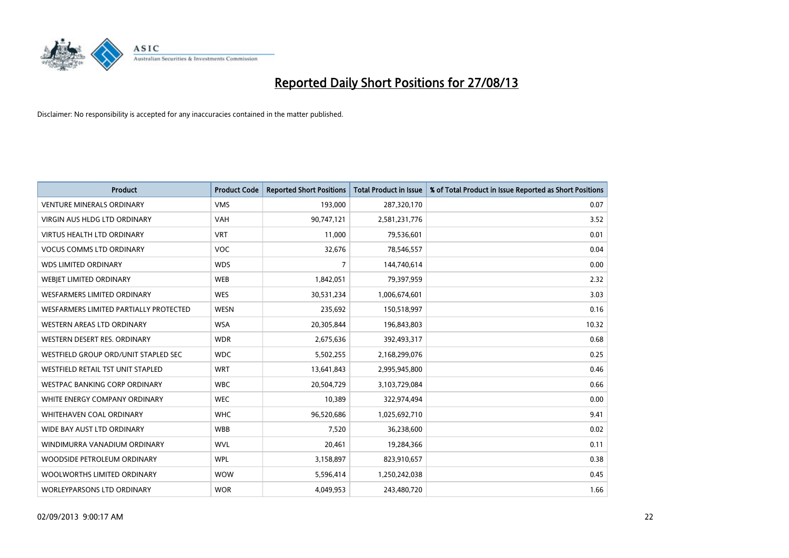

| <b>Product</b>                           | <b>Product Code</b> | <b>Reported Short Positions</b> | <b>Total Product in Issue</b> | % of Total Product in Issue Reported as Short Positions |
|------------------------------------------|---------------------|---------------------------------|-------------------------------|---------------------------------------------------------|
| <b>VENTURE MINERALS ORDINARY</b>         | <b>VMS</b>          | 193,000                         | 287,320,170                   | 0.07                                                    |
| <b>VIRGIN AUS HLDG LTD ORDINARY</b>      | <b>VAH</b>          | 90,747,121                      | 2,581,231,776                 | 3.52                                                    |
| <b>VIRTUS HEALTH LTD ORDINARY</b>        | <b>VRT</b>          | 11,000                          | 79,536,601                    | 0.01                                                    |
| <b>VOCUS COMMS LTD ORDINARY</b>          | <b>VOC</b>          | 32,676                          | 78,546,557                    | 0.04                                                    |
| <b>WDS LIMITED ORDINARY</b>              | <b>WDS</b>          | 7                               | 144,740,614                   | 0.00                                                    |
| WEBJET LIMITED ORDINARY                  | <b>WEB</b>          | 1,842,051                       | 79,397,959                    | 2.32                                                    |
| <b>WESFARMERS LIMITED ORDINARY</b>       | <b>WES</b>          | 30,531,234                      | 1,006,674,601                 | 3.03                                                    |
| WESFARMERS LIMITED PARTIALLY PROTECTED   | <b>WESN</b>         | 235,692                         | 150,518,997                   | 0.16                                                    |
| WESTERN AREAS LTD ORDINARY               | <b>WSA</b>          | 20,305,844                      | 196,843,803                   | 10.32                                                   |
| WESTERN DESERT RES. ORDINARY             | <b>WDR</b>          | 2,675,636                       | 392,493,317                   | 0.68                                                    |
| WESTFIELD GROUP ORD/UNIT STAPLED SEC     | <b>WDC</b>          | 5,502,255                       | 2,168,299,076                 | 0.25                                                    |
| <b>WESTFIELD RETAIL TST UNIT STAPLED</b> | <b>WRT</b>          | 13,641,843                      | 2,995,945,800                 | 0.46                                                    |
| <b>WESTPAC BANKING CORP ORDINARY</b>     | <b>WBC</b>          | 20,504,729                      | 3,103,729,084                 | 0.66                                                    |
| WHITE ENERGY COMPANY ORDINARY            | <b>WEC</b>          | 10,389                          | 322,974,494                   | 0.00                                                    |
| WHITEHAVEN COAL ORDINARY                 | <b>WHC</b>          | 96,520,686                      | 1,025,692,710                 | 9.41                                                    |
| WIDE BAY AUST LTD ORDINARY               | <b>WBB</b>          | 7,520                           | 36,238,600                    | 0.02                                                    |
| WINDIMURRA VANADIUM ORDINARY             | <b>WVL</b>          | 20,461                          | 19,284,366                    | 0.11                                                    |
| WOODSIDE PETROLEUM ORDINARY              | <b>WPL</b>          | 3,158,897                       | 823,910,657                   | 0.38                                                    |
| WOOLWORTHS LIMITED ORDINARY              | <b>WOW</b>          | 5,596,414                       | 1,250,242,038                 | 0.45                                                    |
| WORLEYPARSONS LTD ORDINARY               | <b>WOR</b>          | 4,049,953                       | 243,480,720                   | 1.66                                                    |